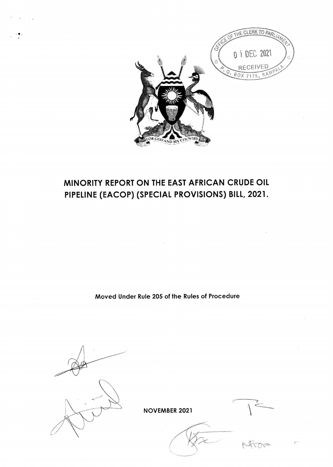

# MINORITY REPORT ON THE EAST AFRICAN CRUDE OIL PIPELINE (EACOP) (SPECIAL PROVISIONS) BILL, 2021.

Moved Under Rule 205 of the Rules of Procedure

**NOVEMBER 2021**